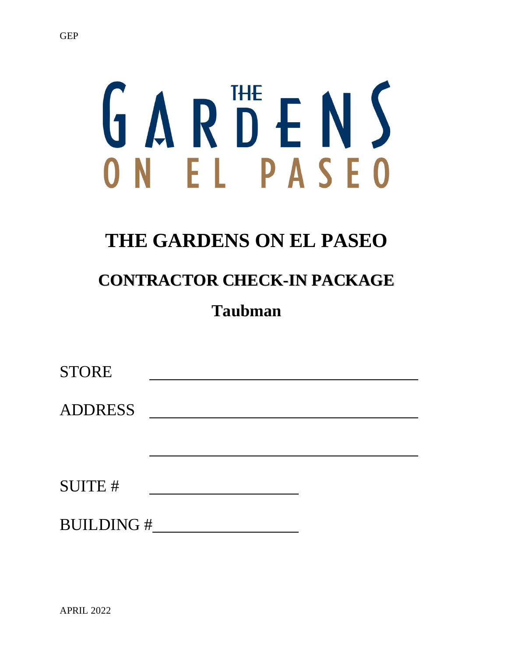# GARBENS ON EL PASEO

# **THE GARDENS ON EL PASEO**

## **CONTRACTOR CHECK-IN PACKAGE**

## **Taubman**

| <b>STORE</b>     |  |
|------------------|--|
| <b>ADDRESS</b>   |  |
|                  |  |
|                  |  |
| <b>SUITE#</b>    |  |
| <b>BUILDING#</b> |  |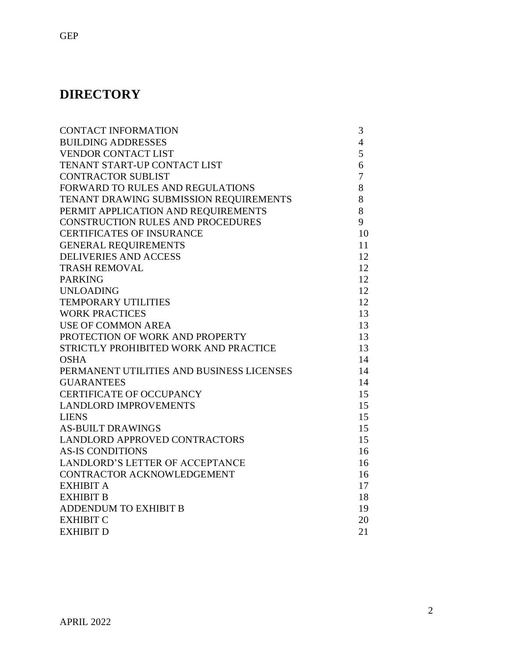## **DIRECTORY**

GEP

| <b>CONTACT INFORMATION</b>                | 3              |
|-------------------------------------------|----------------|
| <b>BUILDING ADDRESSES</b>                 | $\overline{4}$ |
| <b>VENDOR CONTACT LIST</b>                | 5              |
| TENANT START-UP CONTACT LIST              | 6              |
| <b>CONTRACTOR SUBLIST</b>                 | $\overline{7}$ |
| FORWARD TO RULES AND REGULATIONS          | 8              |
| TENANT DRAWING SUBMISSION REQUIREMENTS    | 8              |
| PERMIT APPLICATION AND REQUIREMENTS       | 8              |
| <b>CONSTRUCTION RULES AND PROCEDURES</b>  | 9              |
| <b>CERTIFICATES OF INSURANCE</b>          | 10             |
| <b>GENERAL REQUIREMENTS</b>               | 11             |
| <b>DELIVERIES AND ACCESS</b>              | 12             |
| <b>TRASH REMOVAL</b>                      | 12             |
| <b>PARKING</b>                            | 12             |
| <b>UNLOADING</b>                          | 12             |
| <b>TEMPORARY UTILITIES</b>                | 12             |
| <b>WORK PRACTICES</b>                     | 13             |
| <b>USE OF COMMON AREA</b>                 | 13             |
| PROTECTION OF WORK AND PROPERTY           | 13             |
| STRICTLY PROHIBITED WORK AND PRACTICE     | 13             |
| <b>OSHA</b>                               | 14             |
| PERMANENT UTILITIES AND BUSINESS LICENSES | 14             |
| <b>GUARANTEES</b>                         | 14             |
| <b>CERTIFICATE OF OCCUPANCY</b>           | 15             |
| <b>LANDLORD IMPROVEMENTS</b>              | 15             |
| <b>LIENS</b>                              | 15             |
| <b>AS-BUILT DRAWINGS</b>                  | 15             |
| LANDLORD APPROVED CONTRACTORS             | 15             |
| <b>AS-IS CONDITIONS</b>                   | 16             |
| <b>LANDLORD'S LETTER OF ACCEPTANCE</b>    | 16             |
| CONTRACTOR ACKNOWLEDGEMENT                | 16             |
| <b>EXHIBIT A</b>                          | 17             |
| <b>EXHIBIT B</b>                          | 18             |
| <b>ADDENDUM TO EXHIBIT B</b>              | 19             |
| <b>EXHIBIT C</b>                          | 20             |
| <b>EXHIBIT D</b>                          | 21             |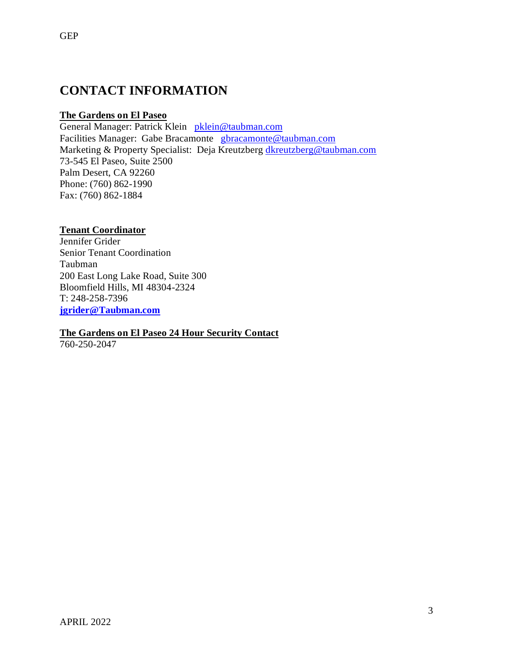## **CONTACT INFORMATION**

#### **The Gardens on El Paseo**

General Manager: Patrick Klein [pklein@taubman.com](mailto:pklein@taubman.com) Facilities Manager: Gabe Bracamonte [gbracamonte@taubman.com](mailto:gbracamonte@taubman.com) Marketing & Property Specialist: Deja Kreutzberg [dkreutzberg@taubman.com](mailto:dkreutzberg@taubman.com) 73-545 El Paseo, Suite 2500 Palm Desert, CA 92260 Phone: (760) 862-1990 Fax: (760) 862-1884

#### **Tenant Coordinator**

Jennifer Grider Senior Tenant Coordination Taubman 200 East Long Lake Road, Suite 300 Bloomfield Hills, MI 48304-2324 T: 248-258-7396 **[jgrider@Taubman.com](mailto:jgrider@Taubman.com)**

#### **The Gardens on El Paseo 24 Hour Security Contact**

760-250-2047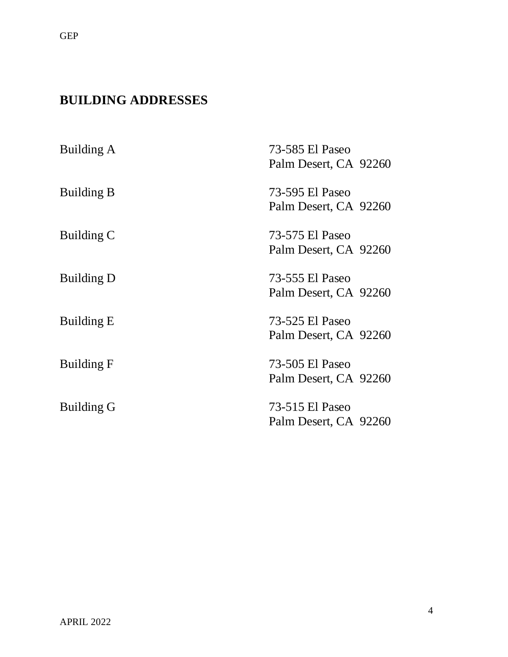## **BUILDING ADDRESSES**

| Building A        | 73-585 El Paseo<br>Palm Desert, CA 92260 |
|-------------------|------------------------------------------|
| Building B        | 73-595 El Paseo<br>Palm Desert, CA 92260 |
| Building C        | 73-575 El Paseo<br>Palm Desert, CA 92260 |
| <b>Building D</b> | 73-555 El Paseo<br>Palm Desert, CA 92260 |
| Building E        | 73-525 El Paseo<br>Palm Desert, CA 92260 |
| Building F        | 73-505 El Paseo<br>Palm Desert, CA 92260 |
| <b>Building G</b> | 73-515 El Paseo<br>Palm Desert, CA 92260 |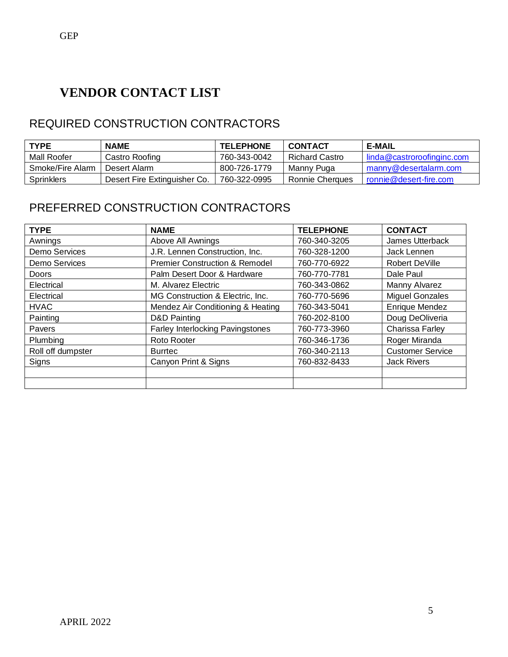## **VENDOR CONTACT LIST**

## REQUIRED CONSTRUCTION CONTRACTORS

| <b>TYPE</b>       | <b>NAME</b>                  | <b>TELEPHONE</b> | <b>CONTACT</b>  | E-MAIL                         |
|-------------------|------------------------------|------------------|-----------------|--------------------------------|
| Mall Roofer       | Castro Roofing               | 760-343-0042     | Richard Castro  | $ $ linda@castroroofinginc.com |
| Smoke/Fire Alarm  | Desert Alarm                 | 800-726-1779     | Manny Puga      | manny@desertalarm.com          |
| <b>Sprinklers</b> | Desert Fire Extinguisher Co. | 760-322-0995     | Ronnie Cheraues | ronnie@desert-fire.com         |

## PREFERRED CONSTRUCTION CONTRACTORS

| <b>TYPE</b>                   | <b>NAME</b>                               | <b>TELEPHONE</b>                      | <b>CONTACT</b>          |  |
|-------------------------------|-------------------------------------------|---------------------------------------|-------------------------|--|
| Awnings                       | Above All Awnings                         | 760-340-3205                          | James Utterback         |  |
| Demo Services                 | J.R. Lennen Construction, Inc.            | 760-328-1200                          | Jack Lennen             |  |
| Demo Services                 | <b>Premier Construction &amp; Remodel</b> | 760-770-6922                          | Robert DeVille          |  |
| <b>Doors</b>                  | Palm Desert Door & Hardware               | 760-770-7781                          | Dale Paul               |  |
| Electrical                    | M. Alvarez Electric                       | 760-343-0862                          | Manny Alvarez           |  |
| Electrical                    | MG Construction & Electric, Inc.          | 760-770-5696                          | <b>Miguel Gonzales</b>  |  |
| <b>HVAC</b>                   | Mendez Air Conditioning & Heating         | <b>Enrique Mendez</b><br>760-343-5041 |                         |  |
| Painting                      | <b>D&amp;D Painting</b>                   | 760-202-8100                          | Doug DeOliveria         |  |
| Pavers                        | <b>Farley Interlocking Pavingstones</b>   | 760-773-3960                          | Charissa Farley         |  |
| Plumbing                      | Roto Rooter                               | 760-346-1736                          | Roger Miranda           |  |
| Roll off dumpster             | <b>Burrtec</b>                            | 760-340-2113                          | <b>Customer Service</b> |  |
| Canyon Print & Signs<br>Signs |                                           | <b>Jack Rivers</b><br>760-832-8433    |                         |  |
|                               |                                           |                                       |                         |  |
|                               |                                           |                                       |                         |  |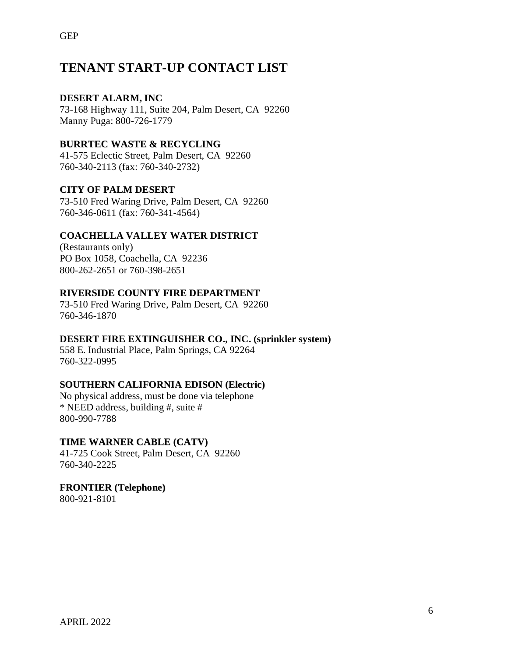## **TENANT START-UP CONTACT LIST**

#### **DESERT ALARM, INC**

73-168 Highway 111, Suite 204, Palm Desert, CA 92260 Manny Puga: 800-726-1779

#### **BURRTEC WASTE & RECYCLING**

41-575 Eclectic Street, Palm Desert, CA 92260 760-340-2113 (fax: 760-340-2732)

#### **CITY OF PALM DESERT**

73-510 Fred Waring Drive, Palm Desert, CA 92260 760-346-0611 (fax: 760-341-4564)

#### **COACHELLA VALLEY WATER DISTRICT**

(Restaurants only) PO Box 1058, Coachella, CA 92236 800-262-2651 or 760-398-2651

#### **RIVERSIDE COUNTY FIRE DEPARTMENT**

73-510 Fred Waring Drive, Palm Desert, CA 92260 760-346-1870

#### **DESERT FIRE EXTINGUISHER CO., INC. (sprinkler system)**

558 E. Industrial Place, Palm Springs, CA 92264 760-322-0995

#### **SOUTHERN CALIFORNIA EDISON (Electric)**

No physical address, must be done via telephone \* NEED address, building #, suite # 800-990-7788

#### **TIME WARNER CABLE (CATV)**

41-725 Cook Street, Palm Desert, CA 92260 760-340-2225

**FRONTIER (Telephone)** 800-921-8101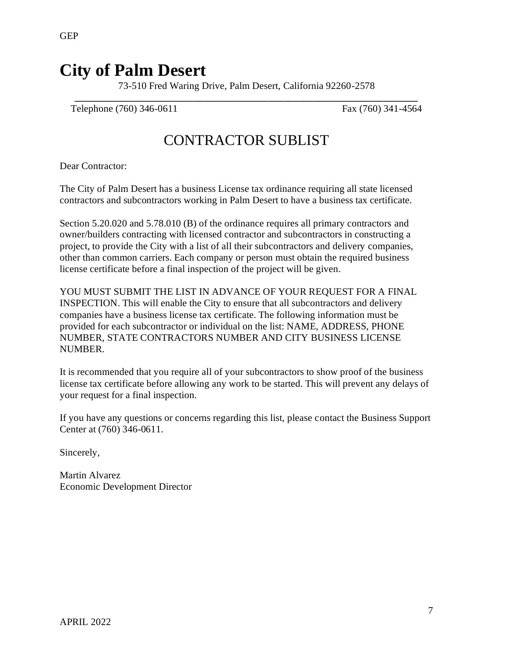## **GEP**

## **City of Palm Desert**

73-510 Fred Waring Drive, Palm Desert, California 92260-2578 **\_\_\_\_\_\_\_\_\_\_\_\_\_\_\_\_\_\_\_\_\_\_\_\_\_\_\_\_\_\_\_\_\_\_\_\_\_\_\_\_\_\_\_\_\_\_\_\_\_\_\_\_\_\_\_\_\_\_\_\_\_\_\_\_\_\_\_\_\_**

Telephone (760) 346-0611 Fax (760) 341-4564

## CONTRACTOR SUBLIST

Dear Contractor:

The City of Palm Desert has a business License tax ordinance requiring all state licensed contractors and subcontractors working in Palm Desert to have a business tax certificate.

Section 5.20.020 and 5.78.010 (B) of the ordinance requires all primary contractors and owner/builders contracting with licensed contractor and subcontractors in constructing a project, to provide the City with a list of all their subcontractors and delivery companies, other than common carriers. Each company or person must obtain the required business license certificate before a final inspection of the project will be given.

YOU MUST SUBMIT THE LIST IN ADVANCE OF YOUR REQUEST FOR A FINAL INSPECTION. This will enable the City to ensure that all subcontractors and delivery companies have a business license tax certificate. The following information must be provided for each subcontractor or individual on the list: NAME, ADDRESS, PHONE NUMBER, STATE CONTRACTORS NUMBER AND CITY BUSINESS LICENSE NUMBER.

It is recommended that you require all of your subcontractors to show proof of the business license tax certificate before allowing any work to be started. This will prevent any delays of your request for a final inspection.

If you have any questions or concerns regarding this list, please contact the Business Support Center at (760) 346-0611.

Sincerely,

Martin Alvarez Economic Development Director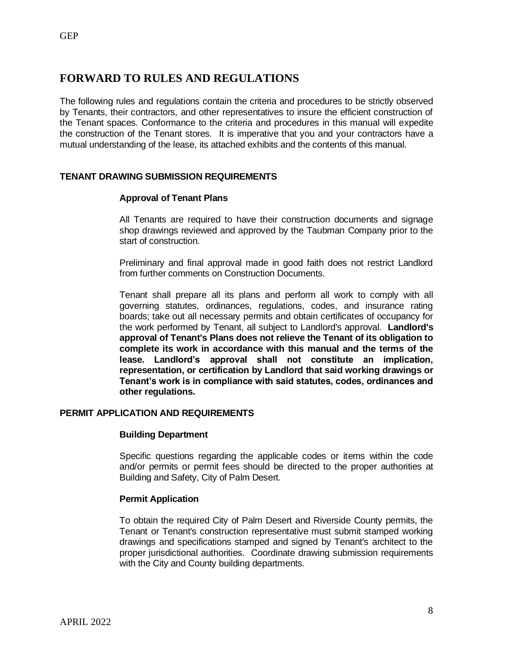#### **FORWARD TO RULES AND REGULATIONS**

The following rules and regulations contain the criteria and procedures to be strictly observed by Tenants, their contractors, and other representatives to insure the efficient construction of the Tenant spaces. Conformance to the criteria and procedures in this manual will expedite the construction of the Tenant stores. It is imperative that you and your contractors have a mutual understanding of the lease, its attached exhibits and the contents of this manual.

#### **TENANT DRAWING SUBMISSION REQUIREMENTS**

#### **Approval of Tenant Plans**

All Tenants are required to have their construction documents and signage shop drawings reviewed and approved by the Taubman Company prior to the start of construction.

Preliminary and final approval made in good faith does not restrict Landlord from further comments on Construction Documents.

Tenant shall prepare all its plans and perform all work to comply with all governing statutes, ordinances, regulations, codes, and insurance rating boards; take out all necessary permits and obtain certificates of occupancy for the work performed by Tenant, all subject to Landlord's approval. **Landlord's approval of Tenant's Plans does not relieve the Tenant of its obligation to complete its work in accordance with this manual and the terms of the lease. Landlord's approval shall not constitute an implication, representation, or certification by Landlord that said working drawings or Tenant's work is in compliance with said statutes, codes, ordinances and other regulations.**

#### **PERMIT APPLICATION AND REQUIREMENTS**

#### **Building Department**

Specific questions regarding the applicable codes or items within the code and/or permits or permit fees should be directed to the proper authorities at Building and Safety, City of Palm Desert.

#### **Permit Application**

To obtain the required City of Palm Desert and Riverside County permits, the Tenant or Tenant's construction representative must submit stamped working drawings and specifications stamped and signed by Tenant's architect to the proper jurisdictional authorities. Coordinate drawing submission requirements with the City and County building departments.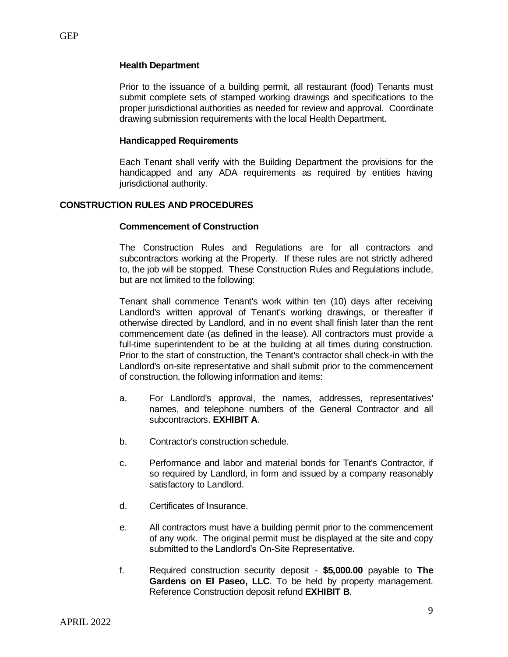#### **Health Department**

Prior to the issuance of a building permit, all restaurant (food) Tenants must submit complete sets of stamped working drawings and specifications to the proper jurisdictional authorities as needed for review and approval. Coordinate drawing submission requirements with the local Health Department.

#### **Handicapped Requirements**

Each Tenant shall verify with the Building Department the provisions for the handicapped and any ADA requirements as required by entities having jurisdictional authority.

#### **CONSTRUCTION RULES AND PROCEDURES**

#### **Commencement of Construction**

The Construction Rules and Regulations are for all contractors and subcontractors working at the Property. If these rules are not strictly adhered to, the job will be stopped. These Construction Rules and Regulations include, but are not limited to the following:

Tenant shall commence Tenant's work within ten (10) days after receiving Landlord's written approval of Tenant's working drawings, or thereafter if otherwise directed by Landlord, and in no event shall finish later than the rent commencement date (as defined in the lease). All contractors must provide a full-time superintendent to be at the building at all times during construction. Prior to the start of construction, the Tenant's contractor shall check-in with the Landlord's on-site representative and shall submit prior to the commencement of construction, the following information and items:

- a. For Landlord's approval, the names, addresses, representatives' names, and telephone numbers of the General Contractor and all subcontractors. **EXHIBIT A**.
- b. Contractor's construction schedule.
- c. Performance and labor and material bonds for Tenant's Contractor, if so required by Landlord, in form and issued by a company reasonably satisfactory to Landlord.
- d. Certificates of Insurance.
- e. All contractors must have a building permit prior to the commencement of any work. The original permit must be displayed at the site and copy submitted to the Landlord's On-Site Representative.
- f. Required construction security deposit **\$5,000.00** payable to **The Gardens on El Paseo, LLC**. To be held by property management. Reference Construction deposit refund **EXHIBIT B**.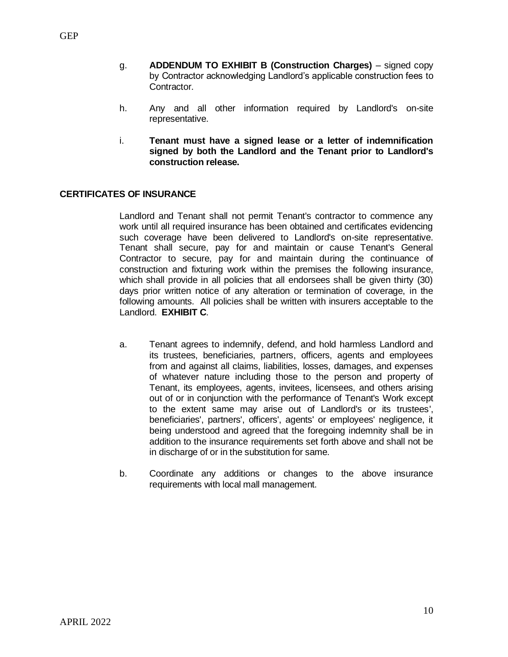- g. **ADDENDUM TO EXHIBIT B (Construction Charges)** signed copy by Contractor acknowledging Landlord's applicable construction fees to Contractor.
- h. Any and all other information required by Landlord's on-site representative.
- i. **Tenant must have a signed lease or a letter of indemnification signed by both the Landlord and the Tenant prior to Landlord's construction release.**

#### **CERTIFICATES OF INSURANCE**

Landlord and Tenant shall not permit Tenant's contractor to commence any work until all required insurance has been obtained and certificates evidencing such coverage have been delivered to Landlord's on-site representative. Tenant shall secure, pay for and maintain or cause Tenant's General Contractor to secure, pay for and maintain during the continuance of construction and fixturing work within the premises the following insurance, which shall provide in all policies that all endorsees shall be given thirty (30) days prior written notice of any alteration or termination of coverage, in the following amounts. All policies shall be written with insurers acceptable to the Landlord. **EXHIBIT C**.

- a. Tenant agrees to indemnify, defend, and hold harmless Landlord and its trustees, beneficiaries, partners, officers, agents and employees from and against all claims, liabilities, losses, damages, and expenses of whatever nature including those to the person and property of Tenant, its employees, agents, invitees, licensees, and others arising out of or in conjunction with the performance of Tenant's Work except to the extent same may arise out of Landlord's or its trustees', beneficiaries', partners', officers', agents' or employees' negligence, it being understood and agreed that the foregoing indemnity shall be in addition to the insurance requirements set forth above and shall not be in discharge of or in the substitution for same.
- b. Coordinate any additions or changes to the above insurance requirements with local mall management.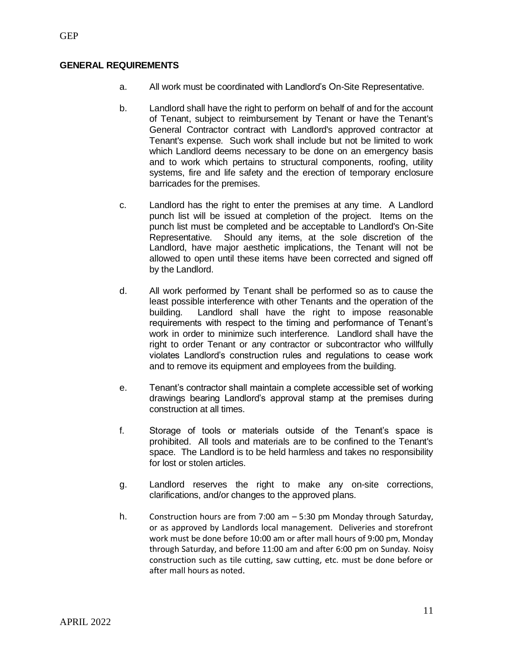#### **GENERAL REQUIREMENTS**

- a. All work must be coordinated with Landlord's On-Site Representative.
- b. Landlord shall have the right to perform on behalf of and for the account of Tenant, subject to reimbursement by Tenant or have the Tenant's General Contractor contract with Landlord's approved contractor at Tenant's expense. Such work shall include but not be limited to work which Landlord deems necessary to be done on an emergency basis and to work which pertains to structural components, roofing, utility systems, fire and life safety and the erection of temporary enclosure barricades for the premises.
- c. Landlord has the right to enter the premises at any time. A Landlord punch list will be issued at completion of the project. Items on the punch list must be completed and be acceptable to Landlord's On-Site Representative. Should any items, at the sole discretion of the Landlord, have major aesthetic implications, the Tenant will not be allowed to open until these items have been corrected and signed off by the Landlord.
- d. All work performed by Tenant shall be performed so as to cause the least possible interference with other Tenants and the operation of the building. Landlord shall have the right to impose reasonable requirements with respect to the timing and performance of Tenant's work in order to minimize such interference. Landlord shall have the right to order Tenant or any contractor or subcontractor who willfully violates Landlord's construction rules and regulations to cease work and to remove its equipment and employees from the building.
- e. Tenant's contractor shall maintain a complete accessible set of working drawings bearing Landlord's approval stamp at the premises during construction at all times.
- f. Storage of tools or materials outside of the Tenant's space is prohibited. All tools and materials are to be confined to the Tenant's space. The Landlord is to be held harmless and takes no responsibility for lost or stolen articles.
- g. Landlord reserves the right to make any on-site corrections, clarifications, and/or changes to the approved plans.
- h. Construction hours are from 7:00 am 5:30 pm Monday through Saturday, or as approved by Landlords local management. Deliveries and storefront work must be done before 10:00 am or after mall hours of 9:00 pm, Monday through Saturday, and before 11:00 am and after 6:00 pm on Sunday. Noisy construction such as tile cutting, saw cutting, etc. must be done before or after mall hours as noted.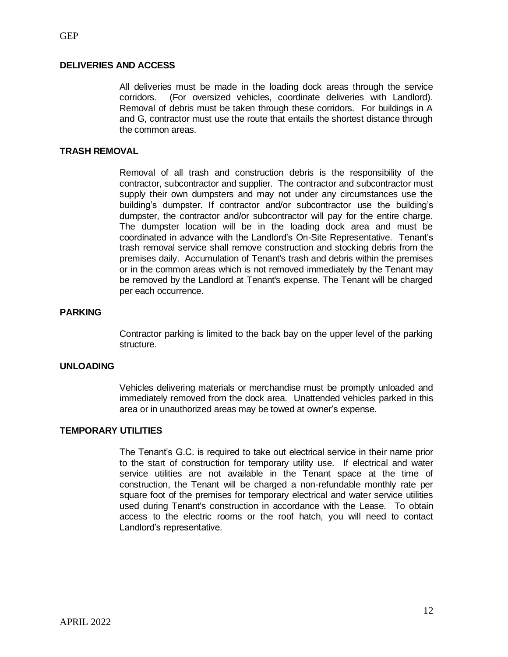#### **DELIVERIES AND ACCESS**

All deliveries must be made in the loading dock areas through the service corridors. (For oversized vehicles, coordinate deliveries with Landlord). Removal of debris must be taken through these corridors. For buildings in A and G, contractor must use the route that entails the shortest distance through the common areas.

#### **TRASH REMOVAL**

Removal of all trash and construction debris is the responsibility of the contractor, subcontractor and supplier. The contractor and subcontractor must supply their own dumpsters and may not under any circumstances use the building's dumpster. If contractor and/or subcontractor use the building's dumpster, the contractor and/or subcontractor will pay for the entire charge. The dumpster location will be in the loading dock area and must be coordinated in advance with the Landlord's On-Site Representative. Tenant's trash removal service shall remove construction and stocking debris from the premises daily. Accumulation of Tenant's trash and debris within the premises or in the common areas which is not removed immediately by the Tenant may be removed by the Landlord at Tenant's expense. The Tenant will be charged per each occurrence.

#### **PARKING**

Contractor parking is limited to the back bay on the upper level of the parking structure.

#### **UNLOADING**

Vehicles delivering materials or merchandise must be promptly unloaded and immediately removed from the dock area. Unattended vehicles parked in this area or in unauthorized areas may be towed at owner's expense.

#### **TEMPORARY UTILITIES**

The Tenant's G.C. is required to take out electrical service in their name prior to the start of construction for temporary utility use. If electrical and water service utilities are not available in the Tenant space at the time of construction, the Tenant will be charged a non-refundable monthly rate per square foot of the premises for temporary electrical and water service utilities used during Tenant's construction in accordance with the Lease. To obtain access to the electric rooms or the roof hatch, you will need to contact Landlord's representative.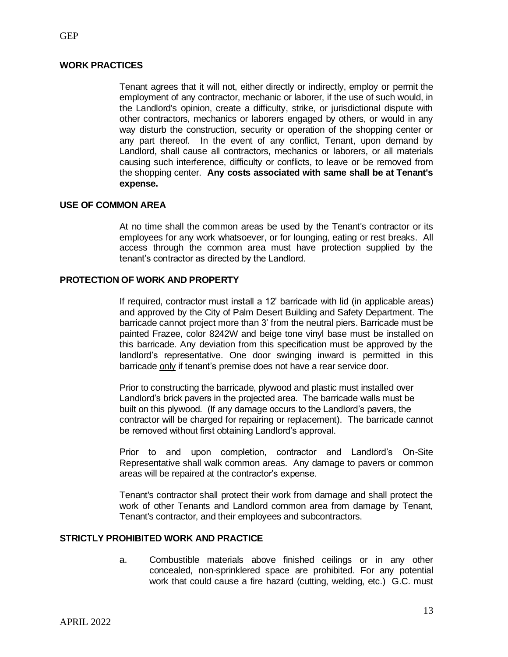#### **WORK PRACTICES**

Tenant agrees that it will not, either directly or indirectly, employ or permit the employment of any contractor, mechanic or laborer, if the use of such would, in the Landlord's opinion, create a difficulty, strike, or jurisdictional dispute with other contractors, mechanics or laborers engaged by others, or would in any way disturb the construction, security or operation of the shopping center or any part thereof. In the event of any conflict, Tenant, upon demand by Landlord, shall cause all contractors, mechanics or laborers, or all materials causing such interference, difficulty or conflicts, to leave or be removed from the shopping center. **Any costs associated with same shall be at Tenant's expense.**

#### **USE OF COMMON AREA**

At no time shall the common areas be used by the Tenant's contractor or its employees for any work whatsoever, or for lounging, eating or rest breaks. All access through the common area must have protection supplied by the tenant's contractor as directed by the Landlord.

#### **PROTECTION OF WORK AND PROPERTY**

If required, contractor must install a 12' barricade with lid (in applicable areas) and approved by the City of Palm Desert Building and Safety Department. The barricade cannot project more than 3' from the neutral piers. Barricade must be painted Frazee, color 8242W and beige tone vinyl base must be installed on this barricade. Any deviation from this specification must be approved by the landlord's representative. One door swinging inward is permitted in this barricade only if tenant's premise does not have a rear service door.

Prior to constructing the barricade, plywood and plastic must installed over Landlord's brick pavers in the projected area. The barricade walls must be built on this plywood. (If any damage occurs to the Landlord's pavers, the contractor will be charged for repairing or replacement). The barricade cannot be removed without first obtaining Landlord's approval.

Prior to and upon completion, contractor and Landlord's On-Site Representative shall walk common areas. Any damage to pavers or common areas will be repaired at the contractor's expense.

Tenant's contractor shall protect their work from damage and shall protect the work of other Tenants and Landlord common area from damage by Tenant, Tenant's contractor, and their employees and subcontractors.

#### **STRICTLY PROHIBITED WORK AND PRACTICE**

a. Combustible materials above finished ceilings or in any other concealed, non-sprinklered space are prohibited. For any potential work that could cause a fire hazard (cutting, welding, etc.) G.C. must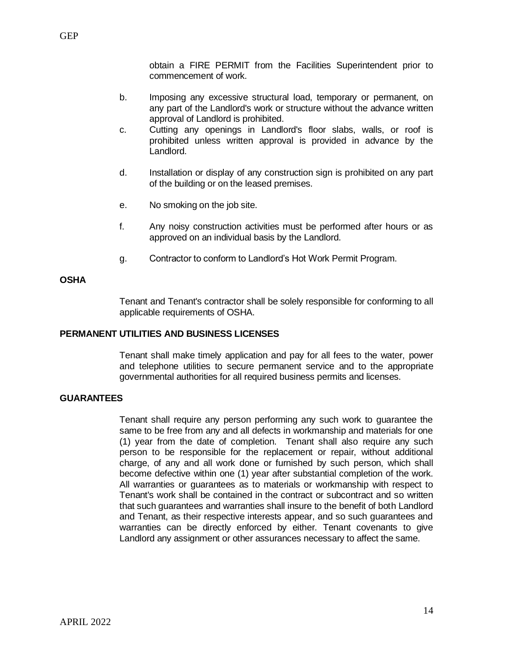obtain a FIRE PERMIT from the Facilities Superintendent prior to commencement of work.

- b. Imposing any excessive structural load, temporary or permanent, on any part of the Landlord's work or structure without the advance written approval of Landlord is prohibited.
- c. Cutting any openings in Landlord's floor slabs, walls, or roof is prohibited unless written approval is provided in advance by the Landlord.
- d. Installation or display of any construction sign is prohibited on any part of the building or on the leased premises.
- e. No smoking on the job site.
- f. Any noisy construction activities must be performed after hours or as approved on an individual basis by the Landlord.
- g. Contractor to conform to Landlord's Hot Work Permit Program.

#### **OSHA**

Tenant and Tenant's contractor shall be solely responsible for conforming to all applicable requirements of OSHA.

#### **PERMANENT UTILITIES AND BUSINESS LICENSES**

Tenant shall make timely application and pay for all fees to the water, power and telephone utilities to secure permanent service and to the appropriate governmental authorities for all required business permits and licenses.

#### **GUARANTEES**

Tenant shall require any person performing any such work to guarantee the same to be free from any and all defects in workmanship and materials for one (1) year from the date of completion. Tenant shall also require any such person to be responsible for the replacement or repair, without additional charge, of any and all work done or furnished by such person, which shall become defective within one (1) year after substantial completion of the work. All warranties or guarantees as to materials or workmanship with respect to Tenant's work shall be contained in the contract or subcontract and so written that such guarantees and warranties shall insure to the benefit of both Landlord and Tenant, as their respective interests appear, and so such guarantees and warranties can be directly enforced by either. Tenant covenants to give Landlord any assignment or other assurances necessary to affect the same.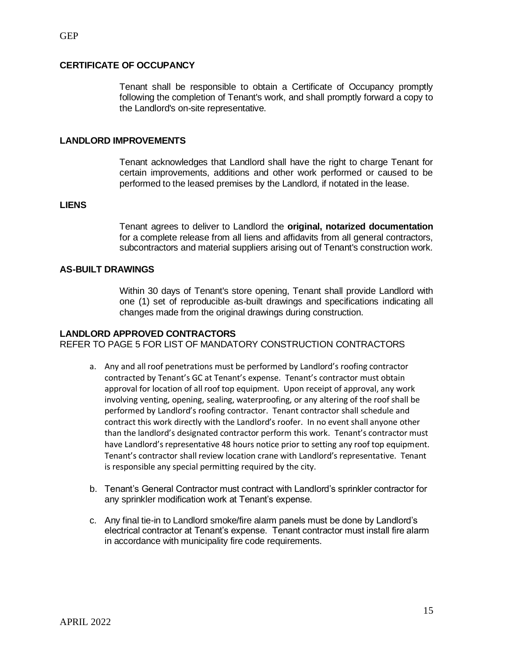#### **CERTIFICATE OF OCCUPANCY**

Tenant shall be responsible to obtain a Certificate of Occupancy promptly following the completion of Tenant's work, and shall promptly forward a copy to the Landlord's on-site representative.

#### **LANDLORD IMPROVEMENTS**

Tenant acknowledges that Landlord shall have the right to charge Tenant for certain improvements, additions and other work performed or caused to be performed to the leased premises by the Landlord, if notated in the lease.

#### **LIENS**

Tenant agrees to deliver to Landlord the **original, notarized documentation**  for a complete release from all liens and affidavits from all general contractors, subcontractors and material suppliers arising out of Tenant's construction work.

#### **AS-BUILT DRAWINGS**

Within 30 days of Tenant's store opening, Tenant shall provide Landlord with one (1) set of reproducible as-built drawings and specifications indicating all changes made from the original drawings during construction.

#### **LANDLORD APPROVED CONTRACTORS**

REFER TO PAGE 5 FOR LIST OF MANDATORY CONSTRUCTION CONTRACTORS

- a. Any and all roof penetrations must be performed by Landlord's roofing contractor contracted by Tenant's GC at Tenant's expense. Tenant's contractor must obtain approval for location of all roof top equipment. Upon receipt of approval, any work involving venting, opening, sealing, waterproofing, or any altering of the roof shall be performed by Landlord's roofing contractor. Tenant contractor shall schedule and contract this work directly with the Landlord's roofer. In no event shall anyone other than the landlord's designated contractor perform this work. Tenant's contractor must have Landlord's representative 48 hours notice prior to setting any roof top equipment. Tenant's contractor shall review location crane with Landlord's representative. Tenant is responsible any special permitting required by the city.
- b. Tenant's General Contractor must contract with Landlord's sprinkler contractor for any sprinkler modification work at Tenant's expense.
- c. Any final tie-in to Landlord smoke/fire alarm panels must be done by Landlord's electrical contractor at Tenant's expense. Tenant contractor must install fire alarm in accordance with municipality fire code requirements.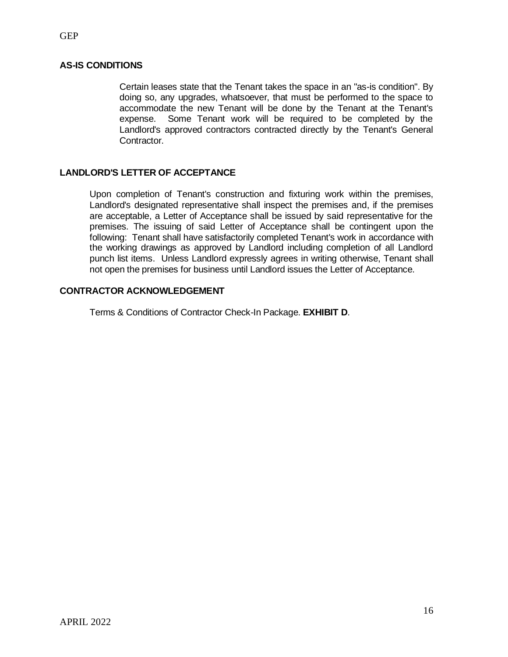#### **AS-IS CONDITIONS**

Certain leases state that the Tenant takes the space in an "as-is condition". By doing so, any upgrades, whatsoever, that must be performed to the space to accommodate the new Tenant will be done by the Tenant at the Tenant's expense. Some Tenant work will be required to be completed by the Landlord's approved contractors contracted directly by the Tenant's General Contractor.

#### **LANDLORD'S LETTER OF ACCEPTANCE**

Upon completion of Tenant's construction and fixturing work within the premises, Landlord's designated representative shall inspect the premises and, if the premises are acceptable, a Letter of Acceptance shall be issued by said representative for the premises. The issuing of said Letter of Acceptance shall be contingent upon the following: Tenant shall have satisfactorily completed Tenant's work in accordance with the working drawings as approved by Landlord including completion of all Landlord punch list items. Unless Landlord expressly agrees in writing otherwise, Tenant shall not open the premises for business until Landlord issues the Letter of Acceptance.

#### **CONTRACTOR ACKNOWLEDGEMENT**

Terms & Conditions of Contractor Check-In Package. **EXHIBIT D**.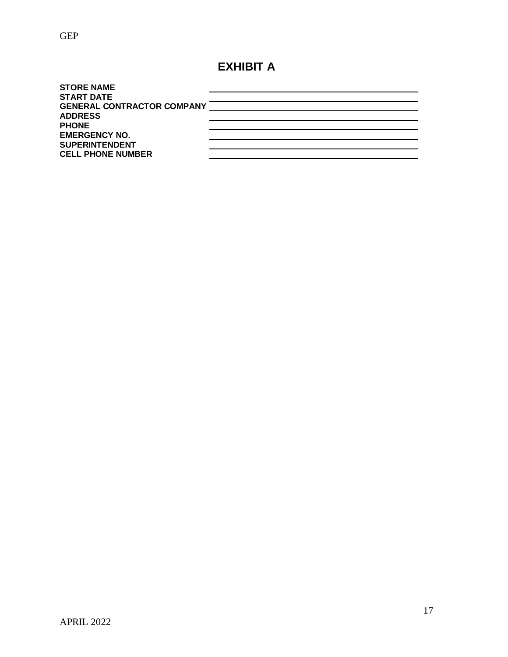## **EXHIBIT A**

| <b>STORE NAME</b>                 |  |
|-----------------------------------|--|
| <b>START DATE</b>                 |  |
| <b>GENERAL CONTRACTOR COMPANY</b> |  |
| <b>ADDRESS</b>                    |  |
| <b>PHONE</b>                      |  |
| <b>EMERGENCY NO.</b>              |  |
| <b>SUPERINTENDENT</b>             |  |
| <b>CELL PHONE NUMBER</b>          |  |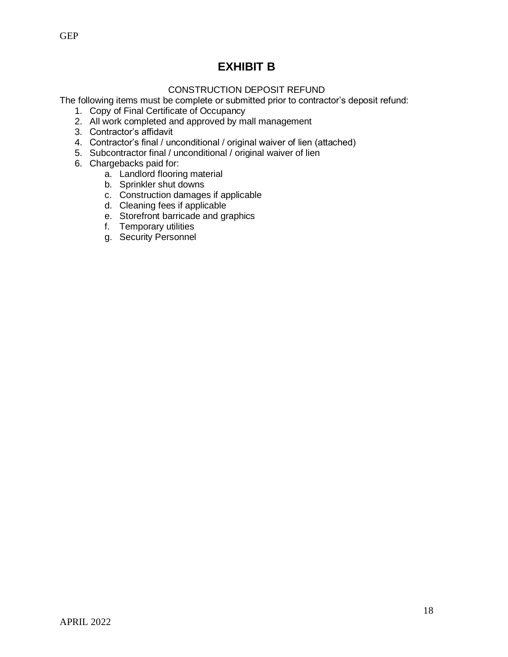#### GEP

## **EXHIBIT B**

#### CONSTRUCTION DEPOSIT REFUND

The following items must be complete or submitted prior to contractor's deposit refund:

- 1. Copy of Final Certificate of Occupancy
- 2. All work completed and approved by mall management
- 3. Contractor's affidavit
- 4. Contractor's final / unconditional / original waiver of lien (attached)
- 5. Subcontractor final / unconditional / original waiver of lien
- 6. Chargebacks paid for:
	- a. Landlord flooring material
	- b. Sprinkler shut downs
	- c. Construction damages if applicable
	- d. Cleaning fees if applicable
	- e. Storefront barricade and graphics
	- f. Temporary utilities
	- g. Security Personnel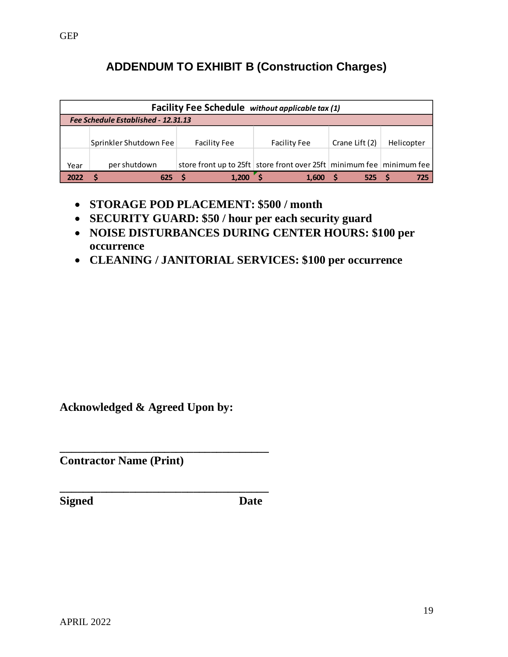## **ADDENDUM TO EXHIBIT B (Construction Charges)**

| Facility Fee Schedule without applicable tax (1) |                        |                                                                            |                     |                |            |
|--------------------------------------------------|------------------------|----------------------------------------------------------------------------|---------------------|----------------|------------|
| Fee Schedule Established - 12.31.13              |                        |                                                                            |                     |                |            |
|                                                  |                        |                                                                            |                     |                |            |
|                                                  | Sprinkler Shutdown Fee | <b>Facility Fee</b>                                                        | <b>Facility Fee</b> | Crane Lift (2) | Helicopter |
|                                                  |                        |                                                                            |                     |                |            |
| Year                                             | per shutdown           | store front up to 25ft   store front over 25ft   minimum fee   minimum fee |                     |                |            |
| 2022                                             |                        | 1.200                                                                      | 1.600               | 525            | 725        |

- **STORAGE POD PLACEMENT: \$500 / month**
- **SECURITY GUARD: \$50 / hour per each security guard**
- **NOISE DISTURBANCES DURING CENTER HOURS: \$100 per occurrence**
- **CLEANING / JANITORIAL SERVICES: \$100 per occurrence**

**Acknowledged & Agreed Upon by:**

**\_\_\_\_\_\_\_\_\_\_\_\_\_\_\_\_\_\_\_\_\_\_\_\_\_\_\_\_\_\_\_\_\_\_\_\_**

**\_\_\_\_\_\_\_\_\_\_\_\_\_\_\_\_\_\_\_\_\_\_\_\_\_\_\_\_\_\_\_\_\_\_\_\_**

**Contractor Name (Print)**

**Signed Date**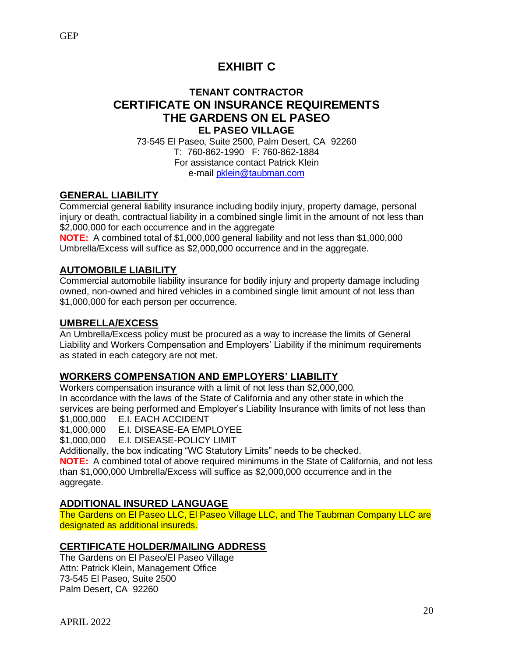### **EXHIBIT C**

#### **TENANT CONTRACTOR CERTIFICATE ON INSURANCE REQUIREMENTS THE GARDENS ON EL PASEO EL PASEO VILLAGE**

73-545 El Paseo, Suite 2500, Palm Desert, CA 92260 T: 760-862-1990 F: 760-862-1884 For assistance contact Patrick Klein e-mail [pklein@taubman.com](mailto:pklein@taubman.com)

#### **GENERAL LIABILITY**

Commercial general liability insurance including bodily injury, property damage, personal injury or death, contractual liability in a combined single limit in the amount of not less than \$2,000,000 for each occurrence and in the aggregate

**NOTE:** A combined total of \$1,000,000 general liability and not less than \$1,000,000 Umbrella/Excess will suffice as \$2,000,000 occurrence and in the aggregate.

#### **AUTOMOBILE LIABILITY**

Commercial automobile liability insurance for bodily injury and property damage including owned, non-owned and hired vehicles in a combined single limit amount of not less than \$1,000,000 for each person per occurrence.

#### **UMBRELLA/EXCESS**

An Umbrella/Excess policy must be procured as a way to increase the limits of General Liability and Workers Compensation and Employers' Liability if the minimum requirements as stated in each category are not met.

#### **WORKERS COMPENSATION AND EMPLOYERS' LIABILITY**

Workers compensation insurance with a limit of not less than \$2,000,000. In accordance with the laws of the State of California and any other state in which the services are being performed and Employer's Liability Insurance with limits of not less than

\$1,000,000 E.I. EACH ACCIDENT

\$1,000,000 E.I. DISEASE-EA EMPLOYEE

\$1,000,000 E.I. DISEASE-POLICY LIMIT

Additionally, the box indicating "WC Statutory Limits" needs to be checked.

**NOTE:** A combined total of above required minimums in the State of California, and not less than \$1,000,000 Umbrella/Excess will suffice as \$2,000,000 occurrence and in the aggregate.

#### **ADDITIONAL INSURED LANGUAGE**

The Gardens on El Paseo LLC, El Paseo Village LLC, and The Taubman Company LLC are designated as additional insureds.

#### **CERTIFICATE HOLDER/MAILING ADDRESS**

The Gardens on El Paseo/El Paseo Village Attn: Patrick Klein, Management Office 73-545 El Paseo, Suite 2500 Palm Desert, CA 92260